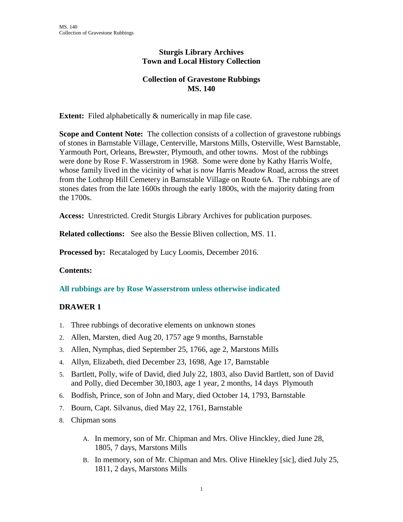### **Sturgis Library Archives Town and Local History Collection**

# **Collection of Gravestone Rubbings MS. 140**

**Extent:** Filed alphabetically & numerically in map file case.

**Scope and Content Note:** The collection consists of a collection of gravestone rubbings of stones in Barnstable Village, Centerville, Marstons Mills, Osterville, West Barnstable, Yarmouth Port, Orleans, Brewster, Plymouth, and other towns. Most of the rubbings were done by Rose F. Wasserstrom in 1968. Some were done by Kathy Harris Wolfe, whose family lived in the vicinity of what is now Harris Meadow Road, across the street from the Lothrop Hill Cemetery in Barnstable Village on Route 6A. The rubbings are of stones dates from the late 1600s through the early 1800s, with the majority dating from the 1700s.

**Access:** Unrestricted. Credit Sturgis Library Archives for publication purposes.

**Related collections:** See also the Bessie Bliven collection, MS. 11.

**Processed by:** Recataloged by Lucy Loomis, December 2016.

#### **Contents:**

**All rubbings are by Rose Wasserstrom unless otherwise indicated**

# **DRAWER 1**

- 1. Three rubbings of decorative elements on unknown stones
- 2. Allen, Marsten, died Aug 20, 1757 age 9 months, Barnstable
- 3. Allen, Nymphas, died September 25, 1766, age 2, Marstons Mills
- 4. Allyn, Elizabeth, died December 23, 1698, Age 17, Barnstable
- 5. Bartlett, Polly, wife of David, died July 22, 1803, also David Bartlett, son of David and Polly, died December 30,1803, age 1 year, 2 months, 14 days Plymouth
- 6. Bodfish, Prince, son of John and Mary, died October 14, 1793, Barnstable
- 7. Bourn, Capt. Silvanus, died May 22, 1761, Barnstable
- 8. Chipman sons
	- A. In memory, son of Mr. Chipman and Mrs. Olive Hinckley, died June 28, 1805, 7 days, Marstons Mills
	- B. In memory, son of Mr. Chipman and Mrs. Olive Hinekley [sic], died July 25, 1811, 2 days, Marstons Mills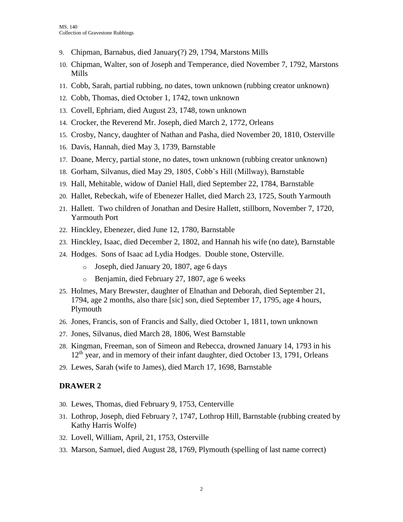- 9. Chipman, Barnabus, died January(?) 29, 1794, Marstons Mills
- 10. Chipman, Walter, son of Joseph and Temperance, died November 7, 1792, Marstons Mills
- 11. Cobb, Sarah, partial rubbing, no dates, town unknown (rubbing creator unknown)
- 12. Cobb, Thomas, died October 1, 1742, town unknown
- 13. Covell, Ephriam, died August 23, 1748, town unknown
- 14. Crocker, the Reverend Mr. Joseph, died March 2, 1772, Orleans
- 15. Crosby, Nancy, daughter of Nathan and Pasha, died November 20, 1810, Osterville
- 16. Davis, Hannah, died May 3, 1739, Barnstable
- 17. Doane, Mercy, partial stone, no dates, town unknown (rubbing creator unknown)
- 18. Gorham, Silvanus, died May 29, 1805, Cobb's Hill (Millway), Barnstable
- 19. Hall, Mehitable, widow of Daniel Hall, died September 22, 1784, Barnstable
- 20. Hallet, Rebeckah, wife of Ebenezer Hallet, died March 23, 1725, South Yarmouth
- 21. Hallett. Two children of Jonathan and Desire Hallett, stillborn, November 7, 1720, Yarmouth Port
- 22. Hinckley, Ebenezer, died June 12, 1780, Barnstable
- 23. Hinckley, Isaac, died December 2, 1802, and Hannah his wife (no date), Barnstable
- 24. Hodges. Sons of Isaac ad Lydia Hodges. Double stone, Osterville.
	- o Joseph, died January 20, 1807, age 6 days
	- o Benjamin, died February 27, 1807, age 6 weeks
- 25. Holmes, Mary Brewster, daughter of Elnathan and Deborah, died September 21, 1794, age 2 months, also thare [sic] son, died September 17, 1795, age 4 hours, Plymouth
- 26. Jones, Francis, son of Francis and Sally, died October 1, 1811, town unknown
- 27. Jones, Silvanus, died March 28, 1806, West Barnstable
- 28. Kingman, Freeman, son of Simeon and Rebecca, drowned January 14, 1793 in his 12<sup>th</sup> year, and in memory of their infant daughter, died October 13, 1791, Orleans
- 29. Lewes, Sarah (wife to James), died March 17, 1698, Barnstable

#### **DRAWER 2**

- 30. Lewes, Thomas, died February 9, 1753, Centerville
- 31. Lothrop, Joseph, died February ?, 1747, Lothrop Hill, Barnstable (rubbing created by Kathy Harris Wolfe)
- 32. Lovell, William, April, 21, 1753, Osterville
- 33. Marson, Samuel, died August 28, 1769, Plymouth (spelling of last name correct)